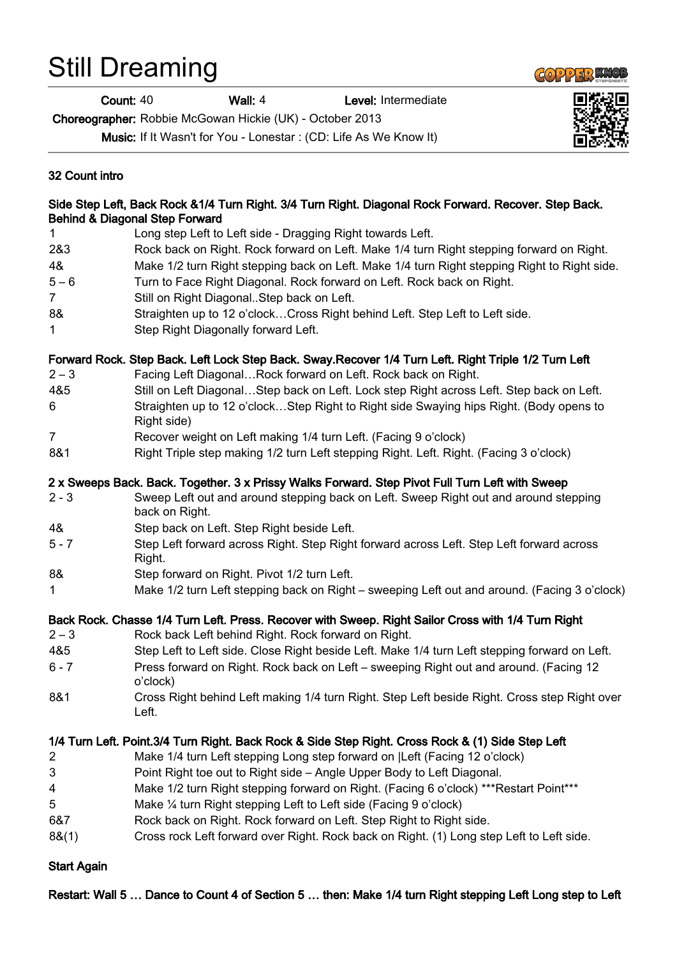## Still Dreaming

Count: 40 **Wall: 4** Level: Intermediate

Choreographer: Robbie McGowan Hickie (UK) - October 2013

Music: If It Wasn't for You - Lonestar : (CD: Life As We Know It)

| 32 Count intro                                                                                                                                      |                                                                                                        |
|-----------------------------------------------------------------------------------------------------------------------------------------------------|--------------------------------------------------------------------------------------------------------|
| Side Step Left, Back Rock & 1/4 Turn Right. 3/4 Turn Right. Diagonal Rock Forward. Recover. Step Back.<br><b>Behind &amp; Diagonal Step Forward</b> |                                                                                                        |
| 1                                                                                                                                                   | Long step Left to Left side - Dragging Right towards Left.                                             |
| 2&3                                                                                                                                                 | Rock back on Right. Rock forward on Left. Make 1/4 turn Right stepping forward on Right.               |
| 4&                                                                                                                                                  | Make 1/2 turn Right stepping back on Left. Make 1/4 turn Right stepping Right to Right side.           |
| $5 - 6$                                                                                                                                             | Turn to Face Right Diagonal. Rock forward on Left. Rock back on Right.                                 |
| $\overline{7}$                                                                                                                                      | Still on Right Diagonal. Step back on Left.                                                            |
| 8&                                                                                                                                                  | Straighten up to 12 o'clockCross Right behind Left. Step Left to Left side.                            |
| $\mathbf{1}$                                                                                                                                        | Step Right Diagonally forward Left.                                                                    |
|                                                                                                                                                     | Forward Rock. Step Back. Left Lock Step Back. Sway. Recover 1/4 Turn Left. Right Triple 1/2 Turn Left  |
| $2 - 3$                                                                                                                                             | Facing Left DiagonalRock forward on Left. Rock back on Right.                                          |
| 4&5                                                                                                                                                 | Still on Left DiagonalStep back on Left. Lock step Right across Left. Step back on Left.               |
| 6                                                                                                                                                   | Straighten up to 12 o'clockStep Right to Right side Swaying hips Right. (Body opens to<br>Right side)  |
| $\overline{7}$                                                                                                                                      | Recover weight on Left making 1/4 turn Left. (Facing 9 o'clock)                                        |
| 8&1                                                                                                                                                 | Right Triple step making 1/2 turn Left stepping Right. Left. Right. (Facing 3 o'clock)                 |
|                                                                                                                                                     | 2 x Sweeps Back. Back. Together. 3 x Prissy Walks Forward. Step Pivot Full Turn Left with Sweep        |
| $2 - 3$                                                                                                                                             | Sweep Left out and around stepping back on Left. Sweep Right out and around stepping<br>back on Right. |
| 4&                                                                                                                                                  | Step back on Left. Step Right beside Left.                                                             |
| $5 - 7$                                                                                                                                             | Step Left forward across Right. Step Right forward across Left. Step Left forward across<br>Right.     |
| 8&                                                                                                                                                  | Step forward on Right. Pivot 1/2 turn Left.                                                            |
| 1                                                                                                                                                   | Make 1/2 turn Left stepping back on Right - sweeping Left out and around. (Facing 3 o'clock)           |
| Back Rock. Chasse 1/4 Turn Left. Press. Recover with Sweep. Right Sailor Cross with 1/4 Turn Right                                                  |                                                                                                        |
| $2 - 3$                                                                                                                                             | Rock back Left behind Right. Rock forward on Right.                                                    |
| 4&5                                                                                                                                                 | Step Left to Left side. Close Right beside Left. Make 1/4 turn Left stepping forward on Left.          |
| $6 - 7$                                                                                                                                             | Press forward on Right. Rock back on Left - sweeping Right out and around. (Facing 12)<br>o'clock)     |
| 8&1                                                                                                                                                 | Cross Right behind Left making 1/4 turn Right. Step Left beside Right. Cross step Right over<br>Left.  |
|                                                                                                                                                     | 1/4 Turn Left. Point.3/4 Turn Right. Back Rock & Side Step Right. Cross Rock & (1) Side Step Left      |
| 2                                                                                                                                                   | Make 1/4 turn Left stepping Long step forward on  Left (Facing 12 o'clock)                             |
| 3                                                                                                                                                   | Point Right toe out to Right side - Angle Upper Body to Left Diagonal.                                 |
| 4                                                                                                                                                   | Make 1/2 turn Right stepping forward on Right. (Facing 6 o'clock) *** Restart Point***                 |
| 5                                                                                                                                                   | Make 1/4 turn Right stepping Left to Left side (Facing 9 o'clock)                                      |
| 6&7                                                                                                                                                 | Rock back on Right. Rock forward on Left. Step Right to Right side.                                    |
| 88(1)                                                                                                                                               | Cross rock Left forward over Right. Rock back on Right. (1) Long step Left to Left side.               |
| <b>Start Again</b>                                                                                                                                  |                                                                                                        |

Restart: Wall 5 … Dance to Count 4 of Section 5 … then: Make 1/4 turn Right stepping Left Long step to Left